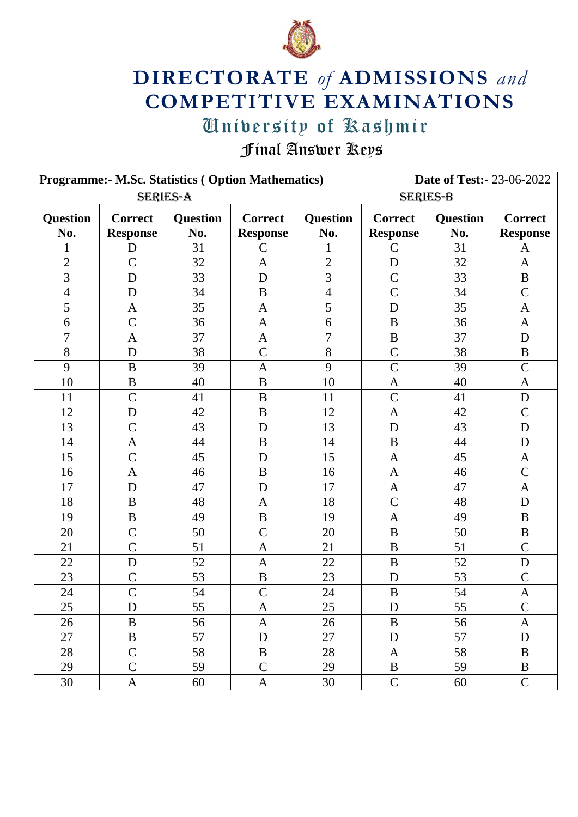

## **DIRECTORATE** *of* **ADMISSIONS** *and* **COMPETITIVE EXAMINATIONS**

## University of Kashmir University of Kashmir

Final Answer Keys

|                 | <b>Programme:- M.Sc. Statistics ( Option Mathematics)</b> |                        |                                   | <b>Date of Test:-23-06-2022</b> |                                   |                        |                                   |  |
|-----------------|-----------------------------------------------------------|------------------------|-----------------------------------|---------------------------------|-----------------------------------|------------------------|-----------------------------------|--|
| <b>SERIES-A</b> |                                                           |                        |                                   | <b>SERIES-B</b>                 |                                   |                        |                                   |  |
| Question<br>No. | <b>Correct</b><br><b>Response</b>                         | <b>Question</b><br>No. | <b>Correct</b><br><b>Response</b> | <b>Question</b><br>No.          | <b>Correct</b><br><b>Response</b> | <b>Question</b><br>No. | <b>Correct</b><br><b>Response</b> |  |
| 1               | D                                                         | 31                     | $\mathsf{C}$                      | 1                               | C                                 | 31                     | A                                 |  |
| $\overline{2}$  | $\overline{C}$                                            | 32                     | $\mathbf{A}$                      | $\overline{2}$                  | D                                 | 32                     | $\mathbf{A}$                      |  |
| 3               | D                                                         | 33                     | D                                 | 3                               | $\mathcal{C}$                     | 33                     | $\bf{B}$                          |  |
| $\overline{4}$  | D                                                         | 34                     | $\mathbf B$                       | $\overline{4}$                  | $\overline{C}$                    | 34                     | $\overline{C}$                    |  |
| 5               | $\mathbf{A}$                                              | 35                     | $\mathbf{A}$                      | 5                               | D                                 | 35                     | $\mathbf{A}$                      |  |
| 6               | $\mathcal{C}$                                             | 36                     | $\mathbf{A}$                      | 6                               | B                                 | 36                     | $\mathbf{A}$                      |  |
| 7               | $\mathbf{A}$                                              | 37                     | $\mathbf{A}$                      | $\overline{7}$                  | B                                 | 37                     | D                                 |  |
| $8\,$           | D                                                         | 38                     | $\mathcal{C}$                     | 8                               | $\mathcal{C}$                     | 38                     | $\, {\bf B}$                      |  |
| 9               | $\mathbf B$                                               | 39                     | $\mathbf{A}$                      | 9                               | $\overline{C}$                    | 39                     | $\mathcal{C}$                     |  |
| 10              | $\mathbf B$                                               | 40                     | $\mathbf{B}$                      | 10                              | $\mathbf{A}$                      | 40                     | $\mathbf{A}$                      |  |
| 11              | $\overline{C}$                                            | 41                     | $\, {\bf B}$                      | 11                              | $\overline{C}$                    | 41                     | $\mathbf D$                       |  |
| 12              | D                                                         | 42                     | B                                 | 12                              | $\mathbf{A}$                      | 42                     | $\mathcal{C}$                     |  |
| 13              | $\overline{C}$                                            | 43                     | D                                 | 13                              | D                                 | 43                     | D                                 |  |
| 14              | $\mathbf{A}$                                              | 44                     | $\mathbf B$                       | 14                              | B                                 | 44                     | D                                 |  |
| 15              | $\overline{C}$                                            | 45                     | D                                 | 15                              | $\mathbf{A}$                      | 45                     | $\mathbf{A}$                      |  |
| 16              | $\mathbf{A}$                                              | 46                     | $\bf{B}$                          | 16                              | $\mathbf{A}$                      | 46                     | $\mathcal{C}$                     |  |
| 17              | D                                                         | 47                     | D                                 | 17                              | $\mathbf{A}$                      | 47                     | $\mathbf{A}$                      |  |
| 18              | B                                                         | 48                     | $\mathbf{A}$                      | 18                              | $\overline{C}$                    | 48                     | D                                 |  |
| 19              | B                                                         | 49                     | B                                 | 19                              | $\mathbf{A}$                      | 49                     | B                                 |  |
| 20              | $\overline{C}$                                            | 50                     | $\overline{C}$                    | 20                              | $\bf{B}$                          | 50                     | $\bf{B}$                          |  |
| 21              | $\overline{C}$                                            | 51                     | $\mathbf{A}$                      | 21                              | B                                 | 51                     | $\mathcal{C}$                     |  |
| 22              | D                                                         | 52                     | $\overline{A}$                    | 22                              | $\bf{B}$                          | 52                     | $\mathbf D$                       |  |
| 23              | $\mathcal{C}$                                             | 53                     | $\, {\bf B}$                      | 23                              | D                                 | 53                     | $\mathcal{C}$                     |  |
| 24              | $\mathcal{C}$                                             | 54                     | $\mathcal{C}$                     | 24                              | B                                 | 54                     | $\mathbf{A}$                      |  |
| $\overline{25}$ | $\mathbf D$                                               | $\overline{55}$        | $\mathbf A$                       | 25                              | ${\bf D}$                         | 55                     | $\overline{C}$                    |  |
| 26              | B                                                         | 56                     | $\mathbf{A}$                      | 26                              | B                                 | 56                     | $\mathbf{A}$                      |  |
| 27              | $\, {\bf B}$                                              | 57                     | $\mathbf D$                       | 27                              | D                                 | 57                     | $\mathbf D$                       |  |
| 28              | $\overline{C}$                                            | 58                     | B                                 | 28                              | $\mathbf{A}$                      | 58                     | $\bf{B}$                          |  |
| 29              | $\overline{C}$                                            | 59                     | $\mathcal{C}$                     | 29                              | $\bf{B}$                          | 59                     | B                                 |  |
| 30              | $\mathbf{A}$                                              | 60                     | $\mathbf{A}$                      | 30                              | $\mathbf C$                       | 60                     | $\mathcal{C}$                     |  |